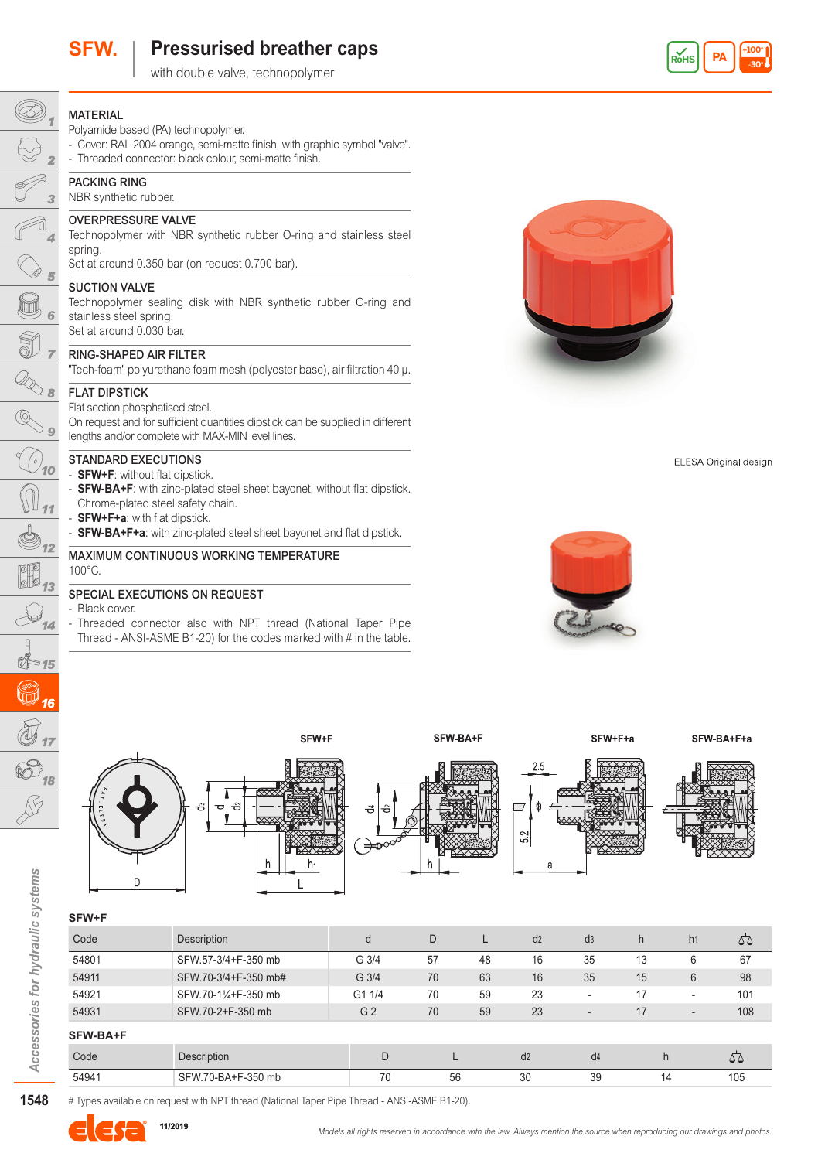

MATERIAL

Ø)

# **SFW. Pressurised breather caps**

with double valve, technopolymer







- Threaded connector also with NPT thread (National Taper Pipe Thread - ANSI-ASME B1-20) for the codes marked with # in the table.

SFW+F

h<sub>1</sub>



ELESA Original design







۴,



SFW-BA+F



SFW+F+a



SFW-BA+F+a

## **SFW+F**

D

| Code     | Description          | d                | D  |    | d2 | d3                       | h  | h1                       | 55  |
|----------|----------------------|------------------|----|----|----|--------------------------|----|--------------------------|-----|
| 54801    | SFW.57-3/4+F-350 mb  | G <sub>3/4</sub> | 57 | 48 | 16 | 35                       | 13 | 6                        | 67  |
| 54911    | SFW.70-3/4+F-350 mb# | G 3/4            | 70 | 63 | 16 | 35                       | 15 | 6                        | 98  |
| 54921    | SFW.70-11/4+F-350 mb | G1 1/4           | 70 | 59 | 23 | ۰                        | 17 | $\overline{\phantom{a}}$ | 101 |
| 54931    | SFW.70-2+F-350 mb    | G <sub>2</sub>   | 70 | 59 | 23 | $\overline{\phantom{a}}$ | 17 | $\overline{\phantom{a}}$ | 108 |
| SFW-BA+F |                      |                  |    |    |    |                          |    |                          |     |
| Code     | Description          | D                |    |    | d2 | d4                       | h  |                          | 52  |
| 54941    | SFW.70-BA+F-350 mb   | 70               | 56 |    | 30 | 39                       | 14 |                          | 105 |

**1548***Accessories for hydraulic systems* 1548

Accessories for hydraulic systems